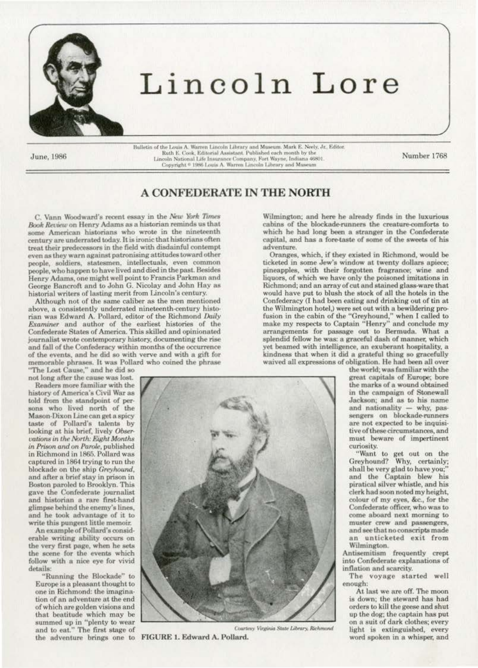

## Lincoln Lore

June, 1986

Bulletin of the Louis A. Warren Lincoln Library and Museum. Mark E. Neely, Jr., Editor. Ruth E. Cook, Editorial Assistant. Published each month by the Lincoln National Life Insurance Company, Fort Wayne, Indiana 46801. Copyright <sup>©</sup> 1986 Louis A. Warren Lincoln Library and Museum

Number 1768

## A CONFEDERATE IN THE NORTH

C. Vann Woodward's recent essay in the New York Times Book Review on Henry Adams as a historian reminds us that some American historians who wrote in the nineteenth century are underrated today. It is ironic that historians often treat their predecessors in the field with disdainful contempt even as they warn against patronising attitudes toward other people, soldiers, statesmen, intellectuals, even common people, who happen to have lived and died in the past. Besides Henry Adams, one might well point to Francis Parkman and George Bancroft and to John G. Nicolay and John Hay as historial writers of lasting merit from Lincoln's century.

Although not of the same caliber as the men mentioned above, a consistently underrated nineteenth-century historian was Edward A. Pollard, editor of the Richmond Daily Examiner and author of the earliest histories of the Confederate States of America. This skilled and opinionated journalist wrote contemporary history, documenting the rise and fall of the Confederacy within months of the occurrence of the events, and he did so with verve and with a gift for memorable phrases. It was Pollard who coined the phrase

The Lost Cause," and he did so not long after the cause was lost.

Readers more familiar with the history of America's Civil War as told from the standpoint of persons who lived north of the Mason-Dixon Line can get a spicy taste of Pollard's talents by<br>looking at his brief, lively Observations in the North: Eight Months in Prison and on Parole, published in Richmond in 1865. Pollard was captured in 1864 trying to run the blockade on the ship Greyhound, and after a brief stay in prison in Boston paroled to Brooklyn. This gave the Confederate journalist and historian a rare first-hand glimpse behind the enemy's lines, and he took advantage of it to write this pungent little memoir.

An example of Pollard's considerable writing ability occurs on the very first page, when he sets the scene for the events which follow with a nice eye for vivid details:

"Running the Blockade" to Europe is a pleasant thought to one in Richmond: the imagination of an adventure at the end of which are golden visions and that beatitude which may be<br>summed up in "plenty to wear and to eat." The first stage of the adventure brings one to FIGURE 1. Edward A. Pollard.



Courtesy Virginia State Library, Richmond

Wilmington; and here he already finds in the luxurious cabins of the blockade-runners the creature-comforts to which he had long been a stranger in the Confederate capital, and has a fore-taste of some of the sweets of his adventure.

Oranges, which, if they existed in Richmond, would be ticketed in some Jew's window at twenty dollars apiece; pineapples, with their forgotten fragrance; wine and liquors, of which we have only the poisoned imitations in Richmond; and an array of cut and stained glass-ware that would have put to blush the stock of all the hotels in the Confederacy (I had been eating and drinking out of tin at the Wilmington hotel,) were set out with a bewildering prothe winnington notel, were set out what a bewindering pro-<br>fusion in the cabin of the "Greyhound," when I called to<br>make my respects to Captain "Henry" and conclude my arrangements for passage out to Bermuda. What a splendid fellow he was: a graceful dash of manner, which yet beamed with intelligence, an exuberant hospitality, a kindness that when it did a grateful thing so gracefully waived all expressions of obligation. He had been all over

the world; was familiar with the great capitals of Europe: bore the marks of a wound obtained in the campaign of Stonewall Jackson; and as to his name and nationality - why, passengers on blockade-runners are not expected to be inquisitive of these circumstances, and must beware of impertinent curiosity.

"Want to get out on the Greyhound? Why, certainly; shall be very glad to have you;' and the Captain blew his piratical silver whistle, and his clerk had soon noted my height. colour of my eyes, &c., for the Confederate officer, who was to come aboard next morning to muster crew and passengers, and see that no conscripts made an unticketed exit from Wilmington.

Antisemitism frequently crept into Confederate explanations of inflation and scarcity.

The voyage started well enough:

At last we are off. The moon is down: the steward has had orders to kill the geese and shut up the dog; the captain has put on a suit of dark clothes; every light is extinguished, every word spoken in a whisper, and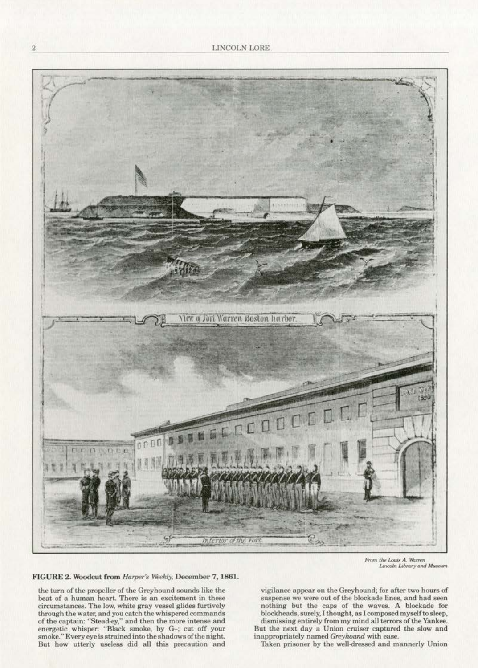

From the Louis A. Warren Lincoln Library and Museum

FIGURE 2. Woodcut from *Harper's Weekly*, December 7, 1861.

the turn of the propeller of the Greyhound sounds like the beat of a human heart. There is an excitement in these circumstances. The low, white gray vessel glides furtively **through the water, and you catch the whispered commands**  of the captain: "Stead-cy," and then the more intense and **energetic whisper: "Black smoke, by G-; cut off your**  smoke." Every eye is strained into the shadows of the night. But how utterly useless did all this precaution and

**vigilance appear on the Greyhound; for after two hours of suspense we were out of the blockade lines, and had seen**  nothing but the caps of the waves. A blockade for blockheads, surely, I thought, as I composed myself to sleep, dismissing entirely from my mind all terrors of the Yankee. But tbe next day a Union cruiser captured the slow and inappropriately named *Greyhound* with ease.

Taken prisoner by the well-dressed and mannerly Union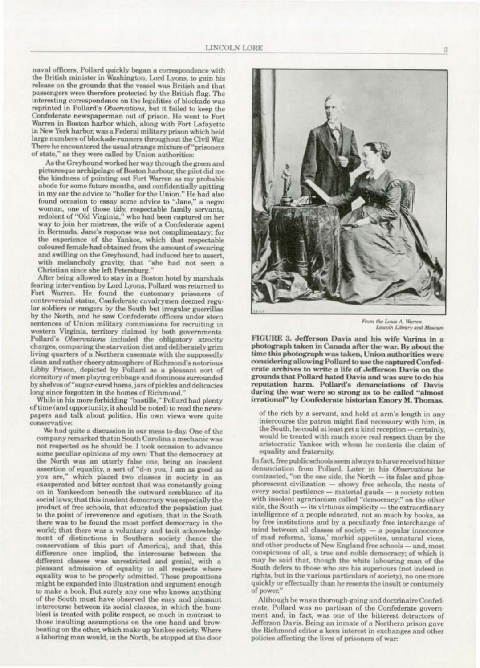naval officers, Pollard quickly began a correspondence with the British minister in Washington, Lord Lyons, to gain his release on the grounds that the vessel was British and that passengers were therefore protected by the British flag. The interesting correspondence on the legalities of blockade was reprinted in Pollard's Observations, but it failed to keep the Confederate newspaperman out of prison. He went to Fort Warren in Boston harbor which, along with Fort Lafayette in New York harbor, was a Federal military prison which held large numbers of blockade-runners throughout the Civil War. There he encountered the usual strange mixture of "prisoners of state," as they were called by Union authorities:

As the Greyhound worked her way through the green and picturesque archipelago of Boston harbour, the pilot did me the kindness of pointing out Fort Warren as my probable abode for some future months, and confidentially spitting in my ear the advice to "holler for the Union." He had also found occasion to essay some advice to "Jane," a negro woman, one of those tidy, respectable family servants, redolent of "Old Virginia," who had been captured on her way to join her mistress, the wife of a Confederate agent in Bermuda. Jane's response was not complimentary; for the experience of the Yankee, which that respectable coloured female had obtained from the amount of swearing and swilling on the Greyhound, had induced her to assert. with melancholy gravity, that "she had not seen a Christian since she left Petersburg."

After being allowed to stay in a Boston hotel by marshals fearing intervention by Lord Lyons, Pollard was returned to Fort Warren. He found the customary prisoners of controversial status, Confederate cavalrymen deemed regular soldiers or rangers by the South but irregular guerrillas by the North, and he saw Confederate officers under stern sentences of Union military commissions for recruiting in western Virginia, territory claimed by both governments. Pollard's Observations included the obligatory atrocity charges, comparing the starvation diet and deliberately grim living quarters of a Northern casemate with the supposedly clean and rather cheery atmosphere of Richmond's notorious Libby Prison, depicted by Pollard as a pleasant sort of dormitory of men playing cribbage and dominoes surrounded by shelves of "sugar-cured hams, jars of pickles and delicacies long since forgotten in the homes of Richmond."

While in his more forbidding "bastille," Pollard had plenty of time (and opportunity, it should be noted) to read the newspapers and talk about politics. His own views were quite conservative:

We had quite a discussion in our mess to-day. One of the company remarked that in South Carolina a mechanic was not respected as he should be. I took occasion to advance some peculiar opinions of my own: That the democracy at the North was an utterly false one, being an insolent assertion of equality, a sort of "d-n you, I am as good as you are," which placed two classes in society in an exasperated and bitter contest that was constantly going on in Yankeedom beneath the outward semblance of its social laws; that this insolent democracy was especially the product of free schools, that educated the population just to the point of irreverence and egotism; that in the South there was to be found the most perfect democracy in the world; that there was a voluntary and tacit acknowledgment of distinctions in Southern society (hence the conservatism of this part of America), and that, this difference once implied, the intercourse between the different classes was unrestricted and genial, with a pleasant admission of equality in all respects where equality was to be properly admitted. These propositions might be expanded into illustration and argument enough to make a book. But surely any one who knows anything of the South must have observed the easy and pleasant intercourse between its social classes, in which the humblest is treated with polite respect, so much in contrast to those insulting assumptions on the one hand and browbeating on the other, which make up Yankee society. Where a laboring man would, in the North, be stopped at the door



From the Lottis A. Warren Lincoln Library and Museum

FIGURE 3. Jefferson Davis and his wife Varina in a photograph taken in Canada after the war. By about the time this photograph was taken, Union authorities were considering allowing Pollard to use the captured Confederate archives to write a life of Jefferson Davis on the grounds that Pollard hated Davis and was sure to do his reputation harm. Pollard's denunciations of Davis during the war were so strong as to be called "almost irrational" by Confederate historian Emory M. Thomas.

of the rich by a servant, and held at arm's length in any intercourse the patron might find necessary with him, in the South, he could at least get a kind reception - certainly, would be treated with much more real respect than by the aristocratic Yankee with whom he contests the claim of equality and fraternity.

In fact, free public schools seem always to have received bitter denunciation from Pollard. Later in his Observations he contrasted, "on the one side, the North - its false and phosphorescent civilization - showy free schools, the nests of every social pestilence - material gauds - a society rotten with insolent agrarianism called "democracy;" on the other side, the South - its virtuous simplicity - the extraordinary intelligence of a people educated, not so much by books, as by free institutions and by a peculiarly free interchange of mind between all classes of society - a popular innocence of mad reforms, 'isms,' morbid appetites, unnatural vices, and other products of New England free schools - and, most conspicuous of all, a true and noble democracy; of which it may be said that, though the white labouring man of the South defers to those who are his superiours (not indeed in rights, but in the various particulars of society), no one more quickly or effectually than he resents the insult or contumely of power."

Although he was a thorough-going and doctrinaire Confederate, Pollard was no partisan of the Confederate government and, in fact, was one of the bitterest detractors of Jefferson Davis. Being an inmate of a Northern prison gave the Richmond editor a keen interest in exchanges and other policies affecting the lives of prisoners of war: